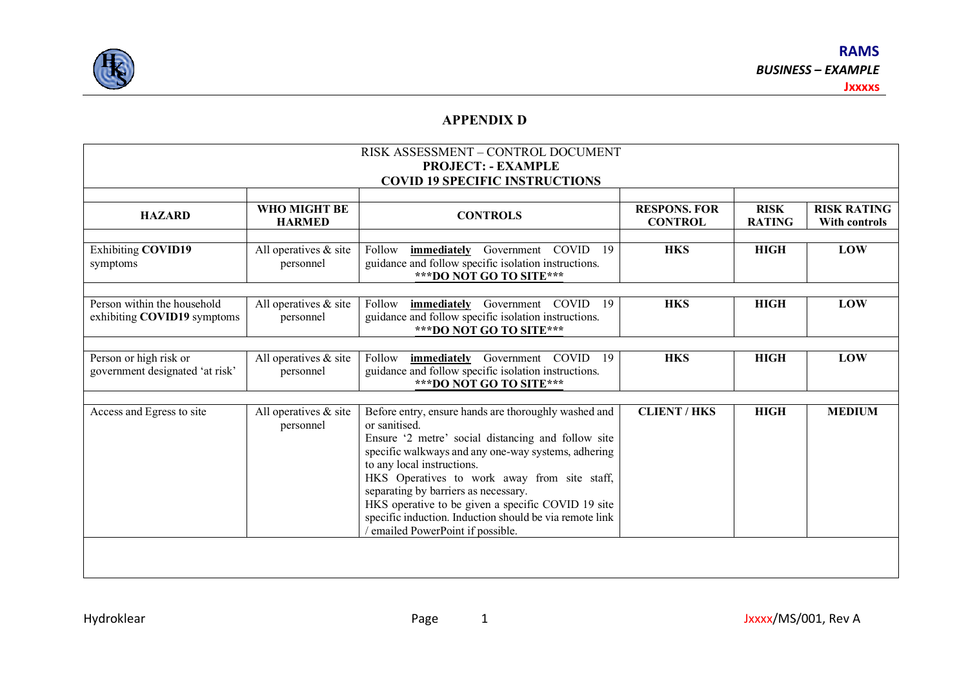

## **APPENDIX D**

| RISK ASSESSMENT - CONTROL DOCUMENT<br><b>PROJECT: - EXAMPLE</b><br><b>COVID 19 SPECIFIC INSTRUCTIONS</b> |                                       |                                                                                                                                                                                                                                                                                                                                                                                                                                                              |                                       |                              |                                     |  |  |  |  |
|----------------------------------------------------------------------------------------------------------|---------------------------------------|--------------------------------------------------------------------------------------------------------------------------------------------------------------------------------------------------------------------------------------------------------------------------------------------------------------------------------------------------------------------------------------------------------------------------------------------------------------|---------------------------------------|------------------------------|-------------------------------------|--|--|--|--|
| <b>HAZARD</b>                                                                                            | WHO MIGHT BE<br><b>HARMED</b>         | <b>CONTROLS</b>                                                                                                                                                                                                                                                                                                                                                                                                                                              | <b>RESPONS. FOR</b><br><b>CONTROL</b> | <b>RISK</b><br><b>RATING</b> | <b>RISK RATING</b><br>With controls |  |  |  |  |
| Exhibiting COVID19<br>symptoms                                                                           | All operatives $\&$ site<br>personnel | COVID<br>Follow<br>immediately<br>Government<br>-19<br>guidance and follow specific isolation instructions.<br>*** DO NOT GO TO SITE***                                                                                                                                                                                                                                                                                                                      | <b>HKS</b>                            | <b>HIGH</b>                  | <b>LOW</b>                          |  |  |  |  |
| Person within the household<br>exhibiting COVID19 symptoms                                               | All operatives $&$ site<br>personnel  | Government COVID<br>Follow<br>immediately<br>19<br>guidance and follow specific isolation instructions.<br>*** DO NOT GO TO SITE***                                                                                                                                                                                                                                                                                                                          | <b>HKS</b>                            | <b>HIGH</b>                  | LOW                                 |  |  |  |  |
| Person or high risk or<br>government designated 'at risk'                                                | All operatives $&$ site<br>personnel  | immediately Government COVID<br>- 19<br>Follow<br>guidance and follow specific isolation instructions.<br>*** DO NOT GO TO SITE***                                                                                                                                                                                                                                                                                                                           | <b>HKS</b>                            | <b>HIGH</b>                  | <b>LOW</b>                          |  |  |  |  |
| Access and Egress to site                                                                                | All operatives & site<br>personnel    | Before entry, ensure hands are thoroughly washed and<br>or sanitised.<br>Ensure '2 metre' social distancing and follow site<br>specific walkways and any one-way systems, adhering<br>to any local instructions.<br>HKS Operatives to work away from site staff,<br>separating by barriers as necessary.<br>HKS operative to be given a specific COVID 19 site<br>specific induction. Induction should be via remote link<br>emailed PowerPoint if possible. | <b>CLIENT / HKS</b>                   | <b>HIGH</b>                  | <b>MEDIUM</b>                       |  |  |  |  |